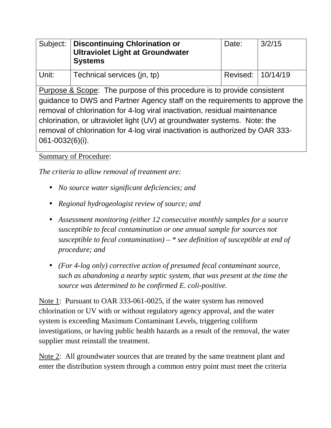| Subject:                                                                                                                                                                                                                                                                                                                                                                                            | <b>Discontinuing Chlorination or</b><br><b>Ultraviolet Light at Groundwater</b><br><b>Systems</b> | Date:    | 3/2/15   |
|-----------------------------------------------------------------------------------------------------------------------------------------------------------------------------------------------------------------------------------------------------------------------------------------------------------------------------------------------------------------------------------------------------|---------------------------------------------------------------------------------------------------|----------|----------|
| Unit:                                                                                                                                                                                                                                                                                                                                                                                               | Technical services (jn, tp)                                                                       | Revised: | 10/14/19 |
| Purpose & Scope: The purpose of this procedure is to provide consistent<br>guidance to DWS and Partner Agency staff on the requirements to approve the<br>removal of chlorination for 4-log viral inactivation, residual maintenance<br>chlorination, or ultraviolet light (UV) at groundwater systems. Note: the<br>removal of chlorination for 4-log viral inactivation is authorized by OAR 333- |                                                                                                   |          |          |
| $061 - 0032(6)(i)$ .                                                                                                                                                                                                                                                                                                                                                                                |                                                                                                   |          |          |

Summary of Procedure:

*The criteria to allow removal of treatment are:* 

- *No source water significant deficiencies; and*
- *Regional hydrogeologist review of source; and*
- *Assessment monitoring (either 12 consecutive monthly samples for a source susceptible to fecal contamination or one annual sample for sources not susceptible to fecal contamination) – \* see definition of susceptible at end of procedure; and*
- *(For 4-log only) corrective action of presumed fecal contaminant source, such as abandoning a nearby septic system, that was present at the time the source was determined to be confirmed E. coli-positive.*

Note 1: Pursuant to OAR 333-061-0025, if the water system has removed chlorination or UV with or without regulatory agency approval, and the water system is exceeding Maximum Contaminant Levels, triggering coliform investigations, or having public health hazards as a result of the removal, the water supplier must reinstall the treatment.

Note 2: All groundwater sources that are treated by the same treatment plant and enter the distribution system through a common entry point must meet the criteria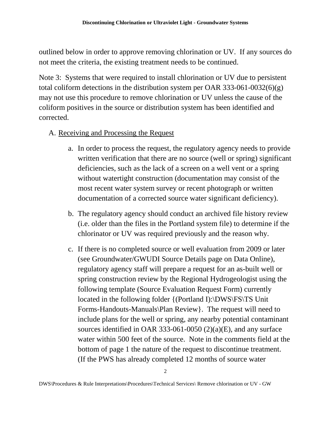outlined below in order to approve removing chlorination or UV. If any sources do not meet the criteria, the existing treatment needs to be continued.

Note 3: Systems that were required to install chlorination or UV due to persistent total coliform detections in the distribution system per OAR 333-061-0032(6)(g) may not use this procedure to remove chlorination or UV unless the cause of the coliform positives in the source or distribution system has been identified and corrected.

- A. Receiving and Processing the Request
	- a. In order to process the request, the regulatory agency needs to provide written verification that there are no source (well or spring) significant deficiencies, such as the lack of a screen on a well vent or a spring without watertight construction (documentation may consist of the most recent water system survey or recent photograph or written documentation of a corrected source water significant deficiency).
	- b. The regulatory agency should conduct an archived file history review (i.e. older than the files in the Portland system file) to determine if the chlorinator or UV was required previously and the reason why.
	- c. If there is no completed source or well evaluation from 2009 or later (see Groundwater/GWUDI Source Details page on Data Online), regulatory agency staff will prepare a request for an as-built well or spring construction review by the Regional Hydrogeologist using the following template (Source Evaluation Request Form) currently located in the following folder {(Portland I):\DWS\FS\TS Unit Forms-Handouts-Manuals\Plan Review}. The request will need to include plans for the well or spring, any nearby potential contaminant sources identified in OAR 333-061-0050 (2)(a)(E), and any surface water within 500 feet of the source. Note in the comments field at the bottom of page 1 the nature of the request to discontinue treatment. (If the PWS has already completed 12 months of source water

DWS\Procedures & Rule Interpretations\Procedures\Technical Services\ Remove chlorination or UV - GW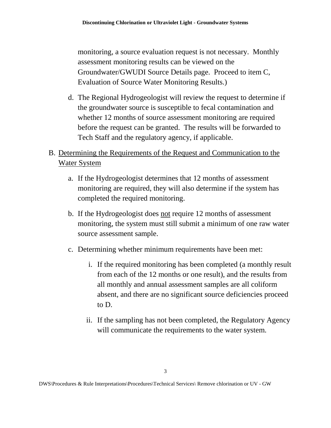monitoring, a source evaluation request is not necessary. Monthly assessment monitoring results can be viewed on the Groundwater/GWUDI Source Details page. Proceed to item C, Evaluation of Source Water Monitoring Results.)

d. The Regional Hydrogeologist will review the request to determine if the groundwater source is susceptible to fecal contamination and whether 12 months of source assessment monitoring are required before the request can be granted. The results will be forwarded to Tech Staff and the regulatory agency, if applicable.

## B. Determining the Requirements of the Request and Communication to the Water System

- a. If the Hydrogeologist determines that 12 months of assessment monitoring are required, they will also determine if the system has completed the required monitoring.
- b. If the Hydrogeologist does not require 12 months of assessment monitoring, the system must still submit a minimum of one raw water source assessment sample.
- c. Determining whether minimum requirements have been met:
	- i. If the required monitoring has been completed (a monthly result from each of the 12 months or one result), and the results from all monthly and annual assessment samples are all coliform absent, and there are no significant source deficiencies proceed to D.
	- ii. If the sampling has not been completed, the Regulatory Agency will communicate the requirements to the water system.

DWS\Procedures & Rule Interpretations\Procedures\Technical Services\ Remove chlorination or UV - GW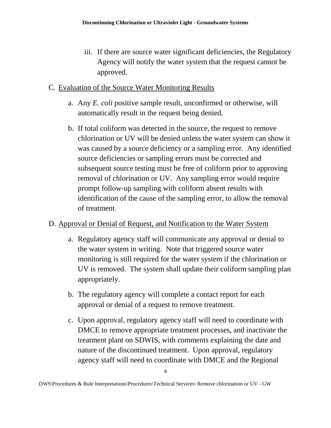iii. If there are source water significant deficiencies, the Regulatory Agency will notify the water system that the request cannot be approved.

## C. Evaluation of the Source Water Monitoring Results

- a. Any *E. coli* positive sample result, unconfirmed or otherwise, will automatically result in the request being denied.
- b. If total coliform was detected in the source, the request to remove chlorination or UV will be denied unless the water system can show it was caused by a source deficiency or a sampling error. Any identified source deficiencies or sampling errors must be corrected and subsequent source testing must be free of coliform prior to approving removal of chlorination or UV. Any sampling error would require prompt follow-up sampling with coliform absent results with identification of the cause of the sampling error, to allow the removal of treatment.

## D. Approval or Denial of Request, and Notification to the Water System

- a. Regulatory agency staff will communicate any approval or denial to the water system in writing. Note that triggered source water monitoring is still required for the water system if the chlorination or UV is removed. The system shall update their coliform sampling plan appropriately.
- b. The regulatory agency will complete a contact report for each approval or denial of a request to remove treatment.
- c. Upon approval, regulatory agency staff will need to coordinate with DMCE to remove appropriate treatment processes, and inactivate the treatment plant on SDWIS, with comments explaining the date and nature of the discontinued treatment. Upon approval, regulatory agency staff will need to coordinate with DMCE and the Regional

DWS\Procedures & Rule Interpretations\Procedures\Technical Services\ Remove chlorination or UV - GW